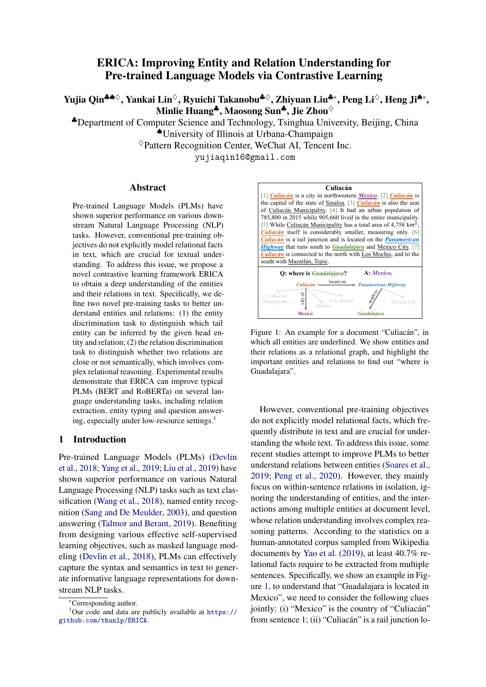# ERICA: Improving Entity and Relation Understanding for Pre-trained Language Models via Contrastive Learning

Yujia Qin<sup>♣♠◇</sup>, Yankai Lin<sup>◇</sup>, Ryuichi Takanobu<sup>♣◇</sup>, Zhiyuan Liu♣∗, Peng Li<sup>◇</sup>, Heng Ji♠∗, Minlie Huang<sup>‡</sup>, Maosong Sun<sup>‡</sup>, Jie Zhou<sup>◇</sup>

♣Department of Computer Science and Technology, Tsinghua University, Beijing, China

♠University of Illinois at Urbana-Champaign

 $\Diamond$ Pattern Recognition Center, WeChat AI, Tencent Inc.

yujiaqin16@gmail.com

#### Abstract

Pre-trained Language Models (PLMs) have shown superior performance on various downstream Natural Language Processing (NLP) tasks. However, conventional pre-training objectives do not explicitly model relational facts in text, which are crucial for textual understanding. To address this issue, we propose a novel contrastive learning framework ERICA to obtain a deep understanding of the entities and their relations in text. Specifically, we define two novel pre-training tasks to better understand entities and relations: (1) the entity discrimination task to distinguish which tail entity can be inferred by the given head entity and relation; (2) the relation discrimination task to distinguish whether two relations are close or not semantically, which involves complex relational reasoning. Experimental results demonstrate that ERICA can improve typical PLMs (BERT and RoBERTa) on several language understanding tasks, including relation extraction, entity typing and question answer-ing, especially under low-resource settings.<sup>[1](#page-0-0)</sup>

#### 1 Introduction

Pre-trained Language Models (PLMs) [\(Devlin](#page-8-0) [et al.,](#page-8-0) [2018;](#page-8-0) [Yang et al.,](#page-11-0) [2019;](#page-11-0) [Liu et al.,](#page-10-0) [2019\)](#page-10-0) have shown superior performance on various Natural Language Processing (NLP) tasks such as text classification [\(Wang et al.,](#page-10-1) [2018\)](#page-10-1), named entity recognition [\(Sang and De Meulder,](#page-10-2) [2003\)](#page-10-2), and question answering [\(Talmor and Berant,](#page-10-3) [2019\)](#page-10-3). Benefiting from designing various effective self-supervised learning objectives, such as masked language modeling [\(Devlin et al.,](#page-8-0) [2018\)](#page-8-0), PLMs can effectively capture the syntax and semantics in text to generate informative language representations for downstream NLP tasks.

<span id="page-0-1"></span>

Figure 1: An example for a document "Culiacán", in which all entities are underlined. We show entities and their relations as a relational graph, and highlight the important entities and relations to find out "where is Guadalajara".

However, conventional pre-training objectives do not explicitly model relational facts, which frequently distribute in text and are crucial for understanding the whole text. To address this issue, some recent studies attempt to improve PLMs to better understand relations between entities [\(Soares et al.,](#page-10-4) [2019;](#page-10-4) [Peng et al.,](#page-10-5) [2020\)](#page-10-5). However, they mainly focus on within-sentence relations in isolation, ignoring the understanding of entities, and the interactions among multiple entities at document level, whose relation understanding involves complex reasoning patterns. According to the statistics on a human-annotated corpus sampled from Wikipedia documents by [Yao et al.](#page-11-1) [\(2019\)](#page-11-1), at least 40.7% relational facts require to be extracted from multiple sentences. Specifically, we show an example in Figure [1,](#page-0-1) to understand that "Guadalajara is located in Mexico", we need to consider the following clues jointly: (i) "Mexico" is the country of "Culiacán" from sentence 1; (ii) "Culiacán" is a rail junction lo-

<span id="page-0-0"></span><sup>∗</sup>Corresponding author.

<sup>&</sup>lt;sup>1</sup>Our code and data are publicly available at  $\frac{htt}{ds}$ :// [github.com/thunlp/ERICA](https://github.com/thunlp/ERICA).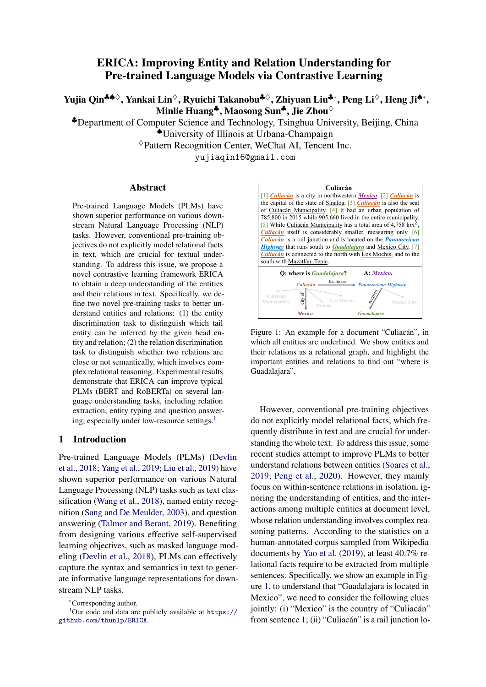cated on "Panamerican Highway" from sentence 6; (iii) "Panamerican Highway" connects to "Guadalajara" from sentence 6. From the example, we can see that there are two main challenges to capture the in-text relational facts:

1. To understand an entity, we should consider its relations to other entities comprehensively. In the example, the entity "Culiacán", occurring in sentence 1, 2, 3, 5, 6 and 7, plays an important role in finding out the answer. To understand "Culiacán", we should consider all its connected entities and diverse relations among them.

2. To understand a relation, we should consider the complex reasoning patterns in text. For example, to understand the complex inference chain in the example, we need to perform multi-hop reasoning, i.e., inferring that "Panamerican Highway" is located in "Mexico" through the first two clues.

In this paper, we propose ERICA, a novel framework to improve PLMs' capability of Entity and RelatIon understanding via ContrAstive learning, aiming to better capture in-text relational facts by considering the interactions among entities and relations comprehensively. Specifically, we define two novel pre-training tasks: (1) the entity discrimination task to distinguish which tail entity can be inferred by the given head entity and relation. It improves the understanding of each entity via considering its relations to other entities in text; (2) the relation discrimination task to distinguish whether two relations are close or not semantically. Through constructing entity pairs with documentlevel distant supervision, it takes complex relational reasoning chains into consideration in an implicit way and thus improves relation understanding.

We conduct experiments on a suite of language understanding tasks, including relation extraction, entity typing and question answering. The experimental results show that ERICA improves the performance of typical PLMs (BERT and RoBERTa) and outperforms baselines, especially under lowresource settings, which demonstrates that ERICA effectively improves PLMs' entity and relation understanding and captures the in-text relational facts.

# 2 Related Work

[Dai and Le](#page-8-1) [\(2015\)](#page-8-1) and [Howard and Ruder](#page-9-0) [\(2018\)](#page-9-0) propose to pre-train universal language representations on unlabeled text, and perform task-specific fine-tuning. With the advance of computing power, PLMs such as OpenAI GPT [\(Radford et al.,](#page-10-6) [2018\)](#page-10-6),

BERT [\(Devlin et al.,](#page-8-0) [2018\)](#page-8-0) and XLNet [\(Yang et al.,](#page-11-0) [2019\)](#page-11-0) based on deep Transformer [\(Vaswani et al.,](#page-10-7) [2017\)](#page-10-7) architecture demonstrate their superiority in various downstream NLP tasks. Since then, numerous PLM extensions have been proposed to further explore the impacts of various model architectures [\(Song et al.,](#page-10-8) [2019;](#page-10-8) [Raffel et al.,](#page-10-9) [2020\)](#page-10-9), larger model size [\(Raffel et al.,](#page-10-9) [2020;](#page-10-9) [Lan et al.,](#page-9-1) [2020;](#page-9-1) [Fedus et al.,](#page-9-2) [2021\)](#page-9-2), more pre-training corpora [\(Liu et al.,](#page-10-0) [2019\)](#page-10-0), etc., to obtain better general language understanding ability. Although achieving great success, these PLMs usually regard words as basic units in textual understanding, ignoring the informative entities and their relations, which are crucial for understanding the whole text.

To improve the entity and relation understanding of PLMs, a typical line of work is knowledgeguided PLM, which incorporates external knowledge such as Knowledge Graphs (KGs) into PLMs to enhance the entity and relation understanding. Some enforce PLMs to memorize information about real-world entities and propose novel pretraining objectives [\(Xiong et al.,](#page-11-2) [2019;](#page-11-2) [Wang et al.,](#page-11-3) [2019;](#page-11-3) [Sun et al.,](#page-10-10) [2020;](#page-10-10) [Yamada et al.,](#page-11-4) [2020\)](#page-11-4). Others modify the internal structures of PLMs to fuse both textual and KG's information [\(Zhang et al.,](#page-11-5) [2019;](#page-11-5) [Peters et al.,](#page-10-11) [2019;](#page-10-11) [Wang et al.,](#page-11-6) [2020;](#page-11-6) [He](#page-9-3) [et al.,](#page-9-3) [2020\)](#page-9-3). Although knowledge-guided PLMs introduce extra factual knowledge in KGs, these methods ignore the intrinsic relational facts in text, making it hard to understand out-of-KG entities or knowledge in downstream tasks, let alone the errors and incompleteness of KGs. This verifies the necessity of teaching PLMs to understand relational facts from contexts.

Another line of work is to directly model entities or relations in text in pre-training stage to break the limitations of individual token representations. Some focus on obtaining better span representations, including entity mentions, via span-based pre-training [\(Sun et al.,](#page-10-12) [2019;](#page-10-12) [Joshi et al.,](#page-9-4) [2020;](#page-9-4) [Kong et al.,](#page-9-5) [2020;](#page-9-5) [Ye et al.,](#page-11-7) [2020\)](#page-11-7). Others learn to extract relation-aware semantics from text by comparing the sentences that share the same entity pair or distantly supervised relation in KGs [\(Soares](#page-10-4) [et al.,](#page-10-4) [2019;](#page-10-4) [Peng et al.,](#page-10-5) [2020\)](#page-10-5). However, these methods only consider either individual entities or within-sentence relations, which limits the performance in dealing with multiple entities and relations at document level. In contrast, our ERICA considers the interactions among multiple entities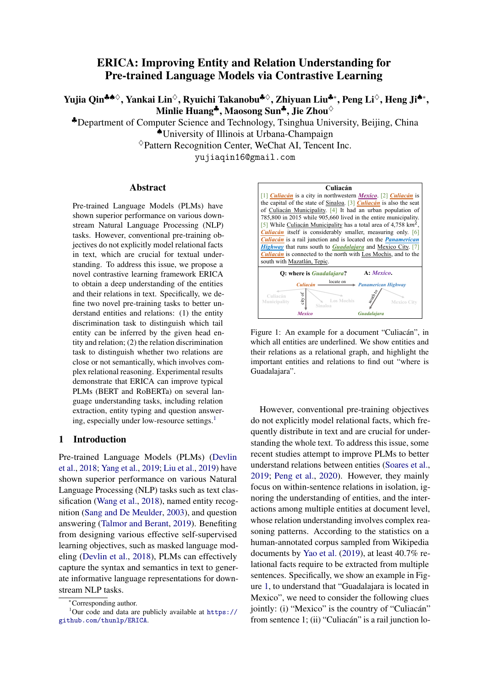<span id="page-2-1"></span>

Figure 2: An example of Entity Discrimination task. For an entity pair with its distantly supervised relation in text, the ED task requires the ground-truth tail entity to be closer to the head entity than other entities.

and relations comprehensively, achieving a better understanding of in-text relational facts.

#### 3 Methodology

In this section, we introduce the details of ERICA. We first describe the notations and how to represent entities and relations in documents. Then we detail the two novel pre-training tasks: Entity Discrimination (ED) task and Relation Discrimination (RD) task, followed by the overall training objective.

#### 3.1 Notations

ERICA is trained on a large-scale unlabeled corpus leveraging the distant supervision from an external KG K. Formally, let  $\mathcal{D} = \{d_i\}_{i=1}^{|\mathcal{D}|}$  be a batch of documents and  $\mathcal{E}_i = \{e_{ij}\}_{j=1}^{|\mathcal{E}_i|}$  be all named entities in  $d_i$ , where  $e_{ij}$  is the j-th entity in  $d_i$ . For each document  $d_i$ , we enumerate all entity pairs  $(e_{ij}, e_{ik})$  and link them to their corresponding relation  $r_{jk}^i$  in K (if possible) and obtain a tuple set  $\mathcal{T}_i = \{ t^i_{jk} = (d_i, e_{ij}, r^i_{jk}, e_{ik}) | j \neq k \}.$ We assign no rel at i on to those entity pairs without relation annotation in  $K$ . Then we obtain the overall tuple set  $\mathcal{T} = \mathcal{T}_1 \bigcup \mathcal{T}_2 \bigcup ... \bigcup \mathcal{T}_{|\mathcal{D}|}$  for this batch. The positive tuple set  $\mathcal{T}^+$  is constructed by removing all tuples with no relation from  $\mathcal T$ . Benefiting from document-level distant supervision,  $\mathcal{T}^+$  includes both intra-sentence (relatively simple cases) and inter-sentence entity pairs (hard cases), whose relation understanding involves cross-sentence, multi-hop, or coreferential reasoning, i.e.,  $\mathcal{T}^+ = \mathcal{T}^+_{\text{sin}}$  $\tau^+_{single} \bigcup \mathcal{T}^+_{cross}.$ 

# <span id="page-2-3"></span>3.2 Entity & Relation Representation

For each document  $d_i$ , we first use a PLM to encode it and obtain a series of hidden states

 $\{h_1, h_2, ..., h_{|d_i|}\}$ , then we apply *mean pooling* operation over the consecutive tokens that mention  $e_{ij}$ to obtain local entity representations. Note  $e_{ij}$  may appear multiple times in  $d_i$ , the k-th occurrence of  $e_{ij}$ , which contains the tokens from index  $n_{start}^k$  to  $n_{end}^k$ , is represented as:

$$
\mathbf{m}_{e_{ij}}^k = \text{MeanPool}(\mathbf{h}_{n_{start}^k}, ..., \mathbf{h}_{n_{end}^k}).
$$
 (1)

To aggregate all information about  $e_{ij}$ , we aver-age<sup>[2](#page-2-0)</sup> all representations of each occurrence  $\mathbf{m}_{e_{ij}}^k$ as the global entity representation  $e_{ij}$ . Following [Soares et al.](#page-10-4) [\(2019\)](#page-10-4), we concatenate the final representations of two entities  $e_{ij_1}$  and  $e_{ij_2}$  as their relation representation, i.e.,  $\mathbf{r}_{j_1j_2}^i = [\mathbf{e}_{ij_1}; \mathbf{e}_{ij_2}].$ 

# 3.3 Entity Discrimination Task

Entity Discrimination (ED) task aims at inferring the tail entity in a document given a head entity and a relation. By distinguishing the ground-truth tail entity from other entities in the text, it teaches PLMs to understand an entity via considering its relations with other entities.

As shown in Figure [2,](#page-2-1) in practice, we first sample a tuple  $t_{jk}^i = (d_i, e_{ij}, r_{jk}^i, e_{ik})$  from  $\mathcal{T}^+$ , PLMs are then asked to distinguish the groundtruth tail entity  $e_{ik}$  from other entities in the document  $d_i$ . To inform PLMs of which head entity and relation to be conditioned on, we concatenate the relation name of  $r_{jk}^i$ , the mention of head entity  $e_{ij}$  and a separation token [SEP] in front of  $d_i$ , i.e.,  $d_i^* = \text{``rel ati on_name}$ entity\_mention[SEP]  $d_i$ <sup>[3](#page-2-2)</sup>. The goal of entity discrimination task is equivalent to maximizing the posterior  $\mathcal{P}(e_{ik}|e_{ij}, r_{jk}^i) = \text{softmax}(f(\mathbf{e}_{ik})) (f(\cdot))$ indicates an entity classifier). However, we empirically find directly optimizing the posterior cannot well consider the relations among entities. Hence, we borrow the idea of contrastive learning [\(Hadsell](#page-9-6) [et al.,](#page-9-6) [2006\)](#page-9-6) and push the representations of positive pair  $(e_{ij}, e_{ik})$  closer than negative pairs, the loss function of ED task can be formulated as:

$$
\mathcal{L}_{ED} = -\sum_{\substack{t_{jk}^{i} \in \mathcal{T}^{+} \\ l=1, l\neq j}} \log \frac{\exp(\cos(\mathbf{e}_{ij}, \mathbf{e}_{ik})/\tau)}{\sum_{l=1, l\neq j} \exp(\cos(\mathbf{e}_{ij}, \mathbf{e}_{il})/\tau)},
$$
\n(2)

<span id="page-2-0"></span> $2$ Although weighted summation by attention mechanism is an alternative, the specific method of entity information aggregation is not our main concern.

<span id="page-2-2"></span><sup>&</sup>lt;sup>3</sup>Here we encode the modified document  $d_i^*$  to obtain the entity representations. The newly added entity\_mention is not considered for head entity representation.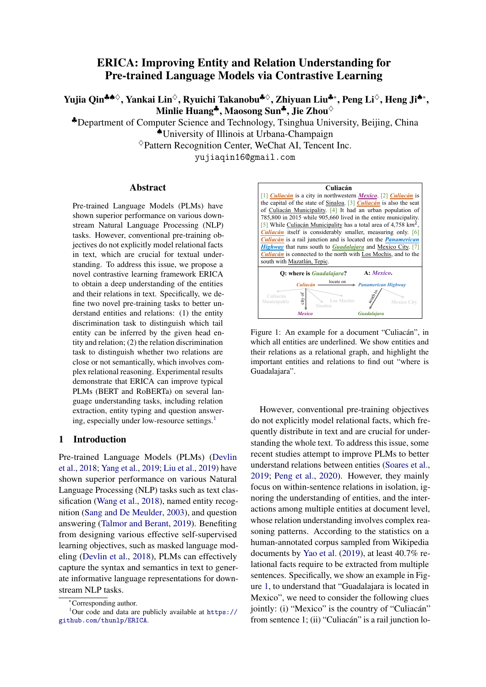<span id="page-3-0"></span>

Figure 3: An example of Relation Discrimination task. For entity pairs belonging to the same relations, the RD task requires their relation representations to be closer.

where  $\cos(\cdot, \cdot)$  denotes the cosine similarity between two entity representations and  $\tau$  (temperature) is a hyper-parameter.

#### 3.4 Relation Discrimination Task

Relation Discrimination (RD) task aims at distinguishing whether two relations are close or not semantically. Compared with existing relationenhanced PLMs, we employ document-level rather than sentence-level distant supervision to further make PLMs comprehend the complex reasoning chains in real-world scenarios and thus improve PLMs' relation understanding.

As depicted in Figure [3,](#page-3-0) we train the text-based relation representations of the entity pairs that share the same relations to be closer in the semantic space. In practice, we linearly<sup>[4](#page-3-1)</sup> sample a tuple pair  $t_A = (d_A, e_{A_1}, r_A, e_{A_2})$  and  $t_B = (d_B, e_{B_1},$  $r_B, e_{B_2}$ ) from  $\mathcal{T}_s^+$  ( $\mathcal{T}_{single}^+$ ) or  $\mathcal{T}_c^+$  ( $\mathcal{T}_{cross}^+$ ), where  $r_A = r_B$ . Using the method mentioned in Sec. [3.2,](#page-2-3) we obtain the positive relation representations  $\mathbf{r}_{tA}$ and  $r_{t_B}$  for  $t_A$  and  $t_B$ . To discriminate positive examples from negative ones, similarly, we adopt contrastive learning and define the loss function of RD task as follows:

<span id="page-3-3"></span>
$$
\mathcal{L}_{RD}^{\tau_1, \tau_2} = - \sum_{t_A \in \mathcal{T}_1, t_B \in \mathcal{T}_2} \log \frac{\exp(\cos(\mathbf{r}_{t_A}, \mathbf{r}_{t_B})/\tau)}{\mathcal{Z}},
$$

$$
\mathcal{Z} = \sum_{t_C \in \mathcal{T}/\{t_A\}}^N \exp(\cos(\mathbf{r}_{t_A}, \mathbf{r}_{t_C})/\tau),
$$

$$
\mathcal{L}_{RD} = \mathcal{L}_{RD}^{\mathcal{T}_s^+, \mathcal{T}_s^+} + \mathcal{L}_{RD}^{\mathcal{T}_s^+, \mathcal{T}_t^+} + \mathcal{L}_{RD}^{\mathcal{T}_c^+, \mathcal{T}_s^+} + \mathcal{L}_{RD}^{\mathcal{T}_c^+, \mathcal{T}_s^+},
$$
(3)

where N is a hyper-parameter. We ensure  $t_B$  is sampled in  $\mathcal Z$  and construct  $N-1$  negative examples by sampling  $t_C$  ( $r_A \neq r_C$ ) from T, instead of  $\mathcal{T}^{+5}$  $\mathcal{T}^{+5}$  $\mathcal{T}^{+5}$ . By additionally considering the last three terms of  $\mathcal{L}_{RD}$  in Eq[.3,](#page-3-3) which require the model to distinguish complex inter-sentence relations with other relations in the text, our model could have better coverage and generality of the reasoning chains. PLMs are trained to perform reasoning in an implicit way to understand those "hard" inter-sentence cases.

#### 3.5 Overall Objective

Now we present the overall training objective of ERICA. To avoid catastrophic forgetting [\(Mc-](#page-10-13)[Closkey and Cohen,](#page-10-13) [1989\)](#page-10-13) of general language understanding ability, we train masked language modeling task  $(\mathcal{L}_{MLM})$  together with ED and RD tasks. Hence, the overall learning objective is formulated as follows:

$$
\mathcal{L} = \mathcal{L}_{ED} + \mathcal{L}_{RD} + \mathcal{L}_{MLM}.
$$
 (4)

It is worth mentioning that we also try to mask entities as suggested by [Soares et al.](#page-10-4) [\(2019\)](#page-10-4) and [Peng et al.](#page-10-5) [\(2020\)](#page-10-5), aiming to avoid simply relearning an entity linking system. However, we do not observe performance gain by such a masking strategy. We conjecture that in our document-level setting, it is hard for PLMs to overfit on memorizing entity mentions due to the better coverage and generality of document-level distant supervision. Besides, masking entities creates a gap between pre-training and fine-tuning, which may be a shortcoming of previous relation-enhanced PLMs.

### 4 Experiments

In this section, we first describe how we construct the distantly supervised dataset and pre-training details for ERICA. Then we introduce the experiments we conduct on several language understanding tasks, including relation extraction (RE), entity typing (ET) and question answering (QA). We test ERICA on two typical PLMs, including BERT and RoBERTa (denoted as ERICABERT and  $ERICA<sub>RoBERTa</sub>$ <sup>[6](#page-3-4)</sup>. We leave the training details

<span id="page-3-1"></span><sup>&</sup>lt;sup>4</sup>The sampling rate of each relation is proportional to its total number in the current batch.

<span id="page-3-2"></span><sup>&</sup>lt;sup>5</sup>In experiments, we find introducing no\_relation entity pairs as negative samples further improves the performance and the reason is that increasing the diversity of training entity pairs is beneficial to PLMs.

<span id="page-3-4"></span><sup>&</sup>lt;sup>6</sup>Since our main focus is to demonstrate the superiority of ERICA in improving PLMs to capture relational facts and advance further research explorations, we choose base models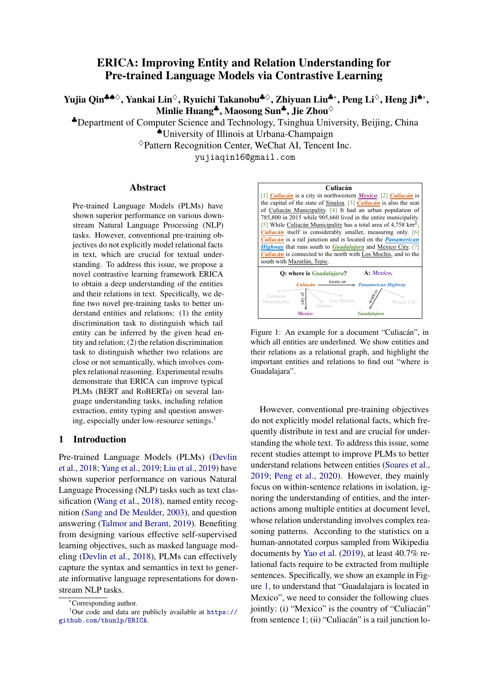for downstream tasks and experiments on GLUE benchmark [\(Wang et al.,](#page-10-1) [2018\)](#page-10-1) in the appendix.

# 4.1 Distantly Supervised Dataset Construction

Following [Yao et al.](#page-11-1) [\(2019\)](#page-11-1), we construct our pretraining dataset leveraging distant supervision from the English Wikipedia and Wikidata. First, we use spaCy[7](#page-4-0) to perform *Named Entity Recognition*, and then link these entity mentions as well as Wikipedia's mentions with hyper-links to Wikidata items, thus we obtain the Wikidata ID for each entity. The relations between different entities are annotated distantly by querying Wikidata. We keep the documents containing at least 128 words, 4 entities and 4 relational triples. In addition, we ignore those entity pairs appearing in the test sets of RE and QA tasks to avoid test set leakage. In the end, we collect 1, 000, 000 documents (about 1G storage) in total with more than 4, 000 relations annotated distantly. On average, each document contains 186.9 tokens, 12.9 entities and 7.2 relational triples, an entity appears 1.3 times per document. Based on the human evaluation on a random sample of the dataset, we find that it achieves an F1 score of 84.7% for named entity recognition, and an F1 score of 25.4% for relation extraction.

### 4.2 Pre-training Details

We initialize ERICA<sub>BERT</sub> and ERICA<sub>ROBERTa</sub> with *bert-base-uncased* and *roberta-base* checkpoints released by Google<sup>[8](#page-4-1)</sup> and Huggingface<sup>[9](#page-4-2)</sup>. We adopt AdamW [\(Loshchilov and Hutter,](#page-10-14) [2017\)](#page-10-14) as the optimizer, warm up the learning rate for the first 20% steps and then linearly decay it. We set the learning rate to  $3 \times 10^{-5}$ , weight decay to  $1 \times 10^{-5}$ , batch size to 2,048 and temperature  $\tau$  to  $5 \times 10^{-2}$ . For  $\mathcal{L}_{RD}$ , we randomly select up to 64 negative samples per document. We train both models with 8 NVIDIA Tesla P40 GPUs for 2, 500 steps.

#### 4.3 Relation Extraction

Relation extraction aims to extract the relation between two recognized entities from a pre-defined relation set. We conduct experiments on both document-level and sentence-level RE. We test

for experiments.

<span id="page-4-2"></span><span id="page-4-1"></span><sup>8</sup> <https://github.com/google-research/bert> 9 [https://github.com/huggingface/](https://github.com/huggingface/transformers)

| transformers |  |
|--------------|--|
|--------------|--|

<span id="page-4-3"></span>

| <b>Size</b>         |      | $1\%$ |      | 10%  |      | 100% |
|---------------------|------|-------|------|------|------|------|
| <b>Metrics</b>      | F1   | IgF1  | F1   | IgF1 | F1   | IgF1 |
| <b>CNN</b>          |      |       |      |      | 42.3 | 40.3 |
| <b>BILSTM</b>       |      |       |      |      | 51.1 | 50.3 |
| <b>BERT</b>         | 30.4 | 28.9  | 47.1 | 44.9 | 56.8 | 54.5 |
| <b>HINBERT</b>      |      |       |      |      | 55.6 | 53.7 |
| CorefBERT           | 32.8 | 31.2  | 46.0 | 43.7 | 57.0 | 54.5 |
| SpanBERT            | 32.2 | 30.4  | 46.4 | 44.5 | 57.3 | 55.0 |
| <b>ERNIE</b>        | 26.7 | 25.5  | 46.7 | 44.2 | 56.6 | 54.2 |
| <b>MTB</b>          | 29.0 | 27.6  | 46.1 | 44.1 | 56.9 | 54.3 |
| CP                  | 30.3 | 28.7  | 44.8 | 42.6 | 55.2 | 52.7 |
| <b>ERICABERT</b>    | 37.8 | 36.0  | 50.8 | 48.3 | 58.2 | 55.9 |
| <b>RoBERTa</b>      | 35.3 | 33.5  | 48.0 | 45.9 | 58.5 | 56.1 |
| <b>ERICAROBERTA</b> | 40.1 | 38.0  | 50.3 | 48.3 | 59.0 | 56.6 |

Table 1: Results on document-level RE (DocRED). We report micro F1 (F1) and micro ignore F1 (IgF1) on test set. IgF1 metric ignores the relational facts shared by the train and dev/test sets.

<span id="page-4-4"></span>

| <b>Dataset</b>           |       | TACRED         |      | SemEval |      |         |
|--------------------------|-------|----------------|------|---------|------|---------|
| <b>Size</b>              | $1\%$ | $100\%$<br>10% |      |         | 10%  | $100\%$ |
| <b>BERT</b>              | 36.0  | 58.5           | 68.1 | 43.6    | 79.3 | 88.1    |
| MTB                      | 35.7  | 58.8           | 68.2 | 44.2    | 79.2 | 88.2    |
| C <sub>P</sub>           | 37.1  | 60.6           | 68.1 | 40.3    | 80.0 | 88.5    |
| <b>ERICARERT</b>         | 36.5  | 59.7           | 68.5 | 47.9    | 80.1 | 88.0    |
| <b>RoBERTa</b>           | 26.3  | 612            | 69.7 | 46.0    | 80.3 | 88.8    |
| ERICA <sub>ROBERTa</sub> | 40.0  | 61.9           | 69.8 | 46.3    | 80.4 | 89.2    |

Table 2: Results (test F1) on sentence-level RE (TA-CRED and SemEval-2010 Task8) on three splits (1%, 10% and 100%).

three partitions of the training set (1%, 10% and 100%) and report results on test sets.

Document-level RE For document-level RE, we choose DocRED [\(Yao et al.,](#page-11-1) [2019\)](#page-11-1), which requires reading multiple sentences in a document and synthesizing all the information to identify the relation between two entities. We encode all entities in the same way as in pre-training phase. The relation representations are obtained by adding a bilinear layer on top of two entity representations. We choose the following baselines: (1) CNN [\(Zeng et al.,](#page-11-8) [2014\)](#page-11-8), BILSTM [\(Hochreiter and Schmidhuber,](#page-9-7) [1997\)](#page-9-7), BERT [\(Devlin et al.,](#page-8-0) [2018\)](#page-8-0) and RoBERTa [\(Liu](#page-10-0) [et al.,](#page-10-0) [2019\)](#page-10-0), which are widely used as text encoders for relation extraction tasks; (2) HINBERT [\(Tang](#page-10-15) [et al.,](#page-10-15) [2020\)](#page-10-15) which employs a hierarchical inference network to leverage the abundant information from different sources; (3) CorefBERT [\(Ye et al.,](#page-11-7) [2020\)](#page-11-7) which proposes a pre-training method to help BERT capture the coreferential relations in context; (4) SpanBERT [\(Joshi et al.,](#page-9-4) [2020\)](#page-9-4) which masks

<span id="page-4-0"></span> $7$ <https://spacy.io/>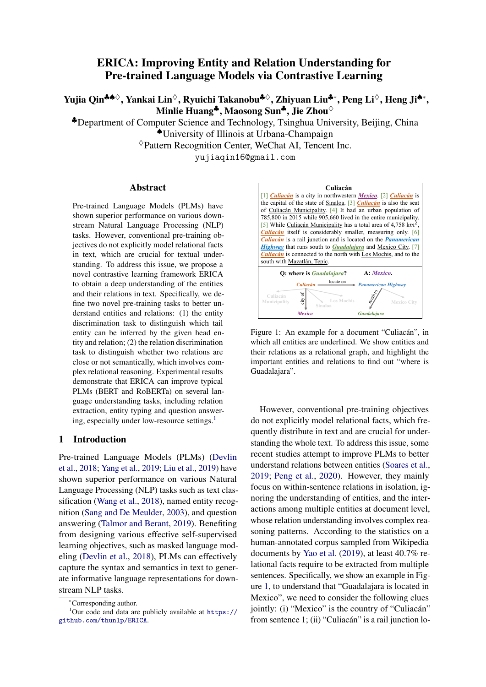<span id="page-5-2"></span>

| <b>Metrics</b>      | Macro F1 | Micro F1 |
|---------------------|----------|----------|
| <b>BERT</b>         | 75.50    | 72.68    |
| <b>MTB</b>          | 76.37    | 72.94    |
| C <sub>P</sub>      | 76.27    | 72.48    |
| <b>ERNIE</b>        | 76.51    | 73.39    |
| <b>ERICARERT</b>    | 77.85    | 74.71    |
| <b>RoBERTa</b>      | 79.24    | 76.38    |
| <b>ERICAROBERTA</b> | 80.77    | 77.04    |

Table 3: Results on entity typing (FIGER). We report macro F1 and micro F1 on the test set.

and predicts contiguous random spans instead of random tokens; (5) ERNIE [\(Zhang et al.,](#page-11-5) [2019\)](#page-11-5) which incorporates KG information into BERT to enhance entity representations; (6) MTB [\(Soares](#page-10-4) [et al.,](#page-10-4) [2019\)](#page-10-4) and CP [\(Peng et al.,](#page-10-5) [2020\)](#page-10-5) which introduce sentence-level relation contrastive learning for BERT via distant supervision. For fair comparison, we pre-train these baselines on our constructed pre-training data $10$  based on the implementation re-leased by [Peng et al.](#page-10-5)  $(2020)^{11}$  $(2020)^{11}$  $(2020)^{11}$  $(2020)^{11}$ . From the results shown in Table [1,](#page-4-3) we can see that: (1) ERICA outperforms all baselines significantly on each supervised data size, which demonstrates that ER-ICA could better understand the relations among entities in the document via implicitly considering their complex reasoning patterns in the pre-training; (2) both MTB and CP achieve worse results than BERT, which means sentence-level pre-training, lacking consideration for complex reasoning patterns, hurts PLM's performance on document-level RE tasks to some extent; (3) ERICA outperforms baselines by a larger margin on smaller training sets, which means ERICA has gained pretty good document-level relation reasoning ability in contrastive learning, and thus obtains improvements more extensively under low-resource settings.

Sentence-level RE For sentence-level RE, we choose two widely used datasets: TACRED [\(Zhang](#page-11-9) [et al.,](#page-11-9) [2017\)](#page-11-9) and SemEval-2010 Task 8 [\(Hendrickx](#page-9-8) [et al.,](#page-9-8) [2019\)](#page-9-8). We insert extra marker tokens to indicate the head and tail entities in each sentence. For baselines, we compare ERICA with BERT, RoBERTa, MTB and CP. From the results shown in Table [2,](#page-4-4) we observe that ERICA achieves almost comparable results on sentence-level RE tasks with CP, which means document-level pre-training in

[RE-Context-or-Names](https://github.com/thunlp/RE-Context-or-Names)

<span id="page-5-3"></span>

| <b>Setting</b>      |       | Standard |      | Masked |      |      |
|---------------------|-------|----------|------|--------|------|------|
| <b>Size</b>         | $1\%$ | 10%      | 100% | $1\%$  | 10%  | 100% |
| FastOA              |       |          | 27.2 |        |      | 38.0 |
| <b>BiDAF</b>        |       |          | 49.7 |        |      | 59.8 |
| <b>BERT</b>         | 35.8  | 53.7     | 69.5 | 37.9   | 53.1 | 73.1 |
| CorefBERT           | 38.1  | 54.4     | 68.8 | 39.0   | 53.5 | 70.7 |
| SpanBERT            | 33.1  | 56.4     | 70.7 | 34.0   | 55.4 | 73.2 |
| <b>MTR</b>          | 36.6  | 51.7     | 68.4 | 36.2   | 50.9 | 71.7 |
| CP.                 | 34.6  | 50.4     | 67.4 | 34.1   | 47.1 | 69.4 |
| <b>ERICABERT</b>    | 46.5  | 57.8     | 69.7 | 40.2   | 58.1 | 73.9 |
| <b>RoBERTa</b>      | 37.3  | 57.4     | 70.9 | 41.2   | 58.7 | 75.5 |
| <b>ERICAROBERTA</b> | 47.4  | 58.8     | 71.2 | 46.8   | 63.4 | 76.6 |

Table 4: Results (accuracy) on the dev set of WikiHop. We test both the standard and masked settings on three splits (1%, 10% and 100%).

<span id="page-5-4"></span>

| <b>Setting</b>      |      | SOuAD   |      | TriviaOA |      | <b>NaturalOA</b> |  |
|---------------------|------|---------|------|----------|------|------------------|--|
| <b>Size</b>         | 10%  | $100\%$ | 10%  | 100%     | 10%  | 100%             |  |
| <b>BERT</b>         | 79.7 | 88.9    | 60.8 | 70.7     | 68.4 | 78.4             |  |
| <b>MTB</b>          | 63.5 | 87.1    | 52.0 | 67.8     | 61.2 | 76.7             |  |
| CP.                 | 69.0 | 87.1    | 52.9 | 68.1     | 63.3 | 77.3             |  |
| <b>ERICARERT</b>    | 81.8 | 88.9    | 63.5 | 71.9     | 70.2 | 79.1             |  |
| RoBERTa             | 82.9 | 90.5    | 63.6 | 72.0     | 71.8 | 80.0             |  |
| <b>ERICAROBERTa</b> | 85.0 | 90.4    | 63.6 | 72.1     | 73.7 | 80.5             |  |

Table 5: Results (F1) on extractive QA (SQuAD, TriviaQA and NaturalQA) on two splits (10% and 100%). Results on 1% split are left in the appendix.

ERICA does not impair PLMs' performance on sentence-level relation understanding.

#### 4.4 Entity Typing

Entity typing aims at classifying entity mentions into pre-defined entity types. We choose FIGER [\(Ling et al.,](#page-9-9) [2015\)](#page-9-9), which is a sentencelevel entity typing dataset labeled with distant supervision. BERT, RoBERTa, MTB, CP and ERNIE are chosen as baselines. From the results listed in Table [3,](#page-5-2) we observe that, ERICA outperforms all baselines, which demonstrates that ER-ICA could better represent entities and distinguish them in text via both entity-level and relation-level contrastive learning.

#### 4.5 Question Answering

Question answering aims to extract a specific answer span in text given a question. We conduct experiments on both multi-choice and extractive QA. We test multiple partitions of the training set.

Multi-choice QA For Multi-choice QA, we choose WikiHop [\(Welbl et al.,](#page-11-10) [2018\)](#page-11-10), which requires models to answer specific properties of an

<span id="page-5-0"></span><sup>&</sup>lt;sup>10</sup>In practice, documents are split into sentences and we only keep within-sentence entity pairs.

<span id="page-5-1"></span><sup>11</sup>[https://github.com/thunlp/](https://github.com/thunlp/RE-Context-or-Names)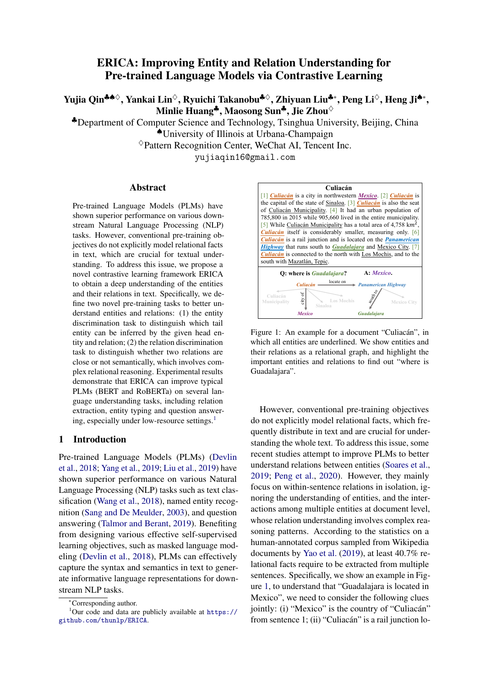entity after reading multiple documents and conducting multi-hop reasoning. It has both standard and masked settings, where the latter setting masks all entities with random IDs to avoid information leakage. We first concatenate the question and documents into a long sequence, then we find all the occurrences of an entity in the documents, encode them into hidden representations and obtain the global entity representation by applying mean pooling on these hidden representations. Finally, we use a classifier on top of the entity representation for prediction. We choose the following baselines: (1) FastQA [\(Weis](#page-11-11)[senborn et al.,](#page-11-11) [2017\)](#page-11-11) and **BiDAF** [\(Seo et al.,](#page-10-16) [2016\)](#page-10-16), which are widely used question answering systems; (2) BERT, RoBERTa, CorefBERT, SpanBERT, MTB and CP, which are introduced in previous sections. From the results listed in Table [4,](#page-5-3) we observe that ERICA outperforms baselines in both settings, indicating that ERICA can better understand entities and their relations in the documents and extract the true answer according to queries. The significant improvements in the masked setting also indicate that ERICA can better perform multi-hop reasoning to synthesize and analyze information from contexts, instead of relying on entity mention "shortcuts" [\(Jiang and Bansal,](#page-9-10) [2019\)](#page-9-10).

Extractive QA For extractive QA, we adopt three widely-used datasets: SQuAD [\(Rajpurkar](#page-10-17) [et al.,](#page-10-17) [2016\)](#page-10-17), TriviaQA [\(Joshi et al.,](#page-9-11) [2017\)](#page-9-11) and NaturalQA [\(Kwiatkowski et al.,](#page-9-12) [2019\)](#page-9-12) in MRQA [\(Fisch](#page-9-13) [et al.,](#page-9-13) [2019\)](#page-9-13) to evaluate ERICA in various domains. Since MRQA does not provide the test set for each dataset, we randomly split the original dev set into two halves and obtain the new dev/test set. We follow the QA setting of BERT [\(Devlin et al.,](#page-8-0) [2018\)](#page-8-0): we concatenate the given question and passage into one long sequence, encode the sequence by PLMs and adopt two classifiers to predict the start and end index of the answer. We choose BERT, RoBERTa, MTB and CP as baselines. From the results listed in Table [5,](#page-5-4) we observe that ERICA outperforms all baselines, indicating that through the enhancement of entity and relation understanding, ERICA is more capable of capturing in-text relational facts and synthesizing information of entities. This ability further improves PLMs for question answering.

# 5 Analysis

In this section, we first conduct a suite of ablation studies to explore how  $\mathcal{L}_{ED}$  and  $\mathcal{L}_{RD}$  contribute to

<span id="page-6-0"></span>

| <b>Dataset</b>                                                       | DocRED | <b>FIGER</b> | WikiHop |
|----------------------------------------------------------------------|--------|--------------|---------|
| <b>BERT</b>                                                          | 44.9   | 72.7         | 53.1    |
| -NSP                                                                 | 45.2   | 72.6         | 53.6    |
| $-NSP+\mathcal{L}_{ED}$                                              | 47.6   | 73.8         | 59.8    |
| -NSP+ $\mathcal{L}_{\texttt{RD}}^{\mathcal{T}_c^+,\mathcal{T}_c^+}$  | 46.4   | 72.6         | 52.2    |
| -NSP+ $\mathcal{L}_{\texttt{RD}}^{\mathcal{T}^+_s, \mathcal{T}^+_s}$ | 47.3   | 73.5         | 51.2    |
| $-NSP+\mathcal{L}_{RD}$                                              | 48.0   | 74.0         | 52.0    |
| <b>ERICARERT</b>                                                     | 48.3   | 74.7         | 58.1    |

Table 6: Ablation study. We report test IgF1 on DocRED (10%), test micro F1 on FIGER and dev accuracy on the masked setting of WikiHop (10%).

ERICA. Then we give a thorough analysis on how pre-training data's domain / size and methods for entity encoding impact the performance. Lastly, we visualize the entity and relation embeddings learned by ERICA.

#### 5.1 Ablation Study

To demonstrate that the superior performance of ERICA is not owing to its longer pretraining (2500 steps) on masked language modeling, we include a baseline by optimizing  $\mathcal{L}_{MLM}$  only (removing the Next Sentence Prediction (-NSP) loss [\(Devlin](#page-8-0) [et al.,](#page-8-0) [2018\)](#page-8-0)). In addition, to explore how  $\mathcal{L}_{ED}$  and  $\mathcal{L}_{RD}$  impact the performance, we keep only one of these two losses and compare the results. Lastly, to evaluate how intra-sentence and inter-sentence entity pairs contribute to RD task, we compare the performances of only sampling intra-sentence entity pairs  $(\mathcal{L}_{RD}^{\tau_s^+, \tau_s^+})$  or inter-sentence entity pairs  $(\mathcal{L}_{RD}^{\tau_c^+,\tau_c^+})$ , and sampling both of them  $(\mathcal{L}_{RD})$  during pre-training. We conduct experiments on DocRED, WikiHop (masked version) and FIGER. For DocRED and WikiHop, we show the results on 10% splits and the full results are left in the appendix.

From the results shown in Table [6,](#page-6-0) we can see that: (1) extra pretraining (-NSP) only contributes a little to the overall improvement. (2) For DocRED and FIGER, either  $\mathcal{L}_{ED}$  or  $\mathcal{L}_{RD}$  is beneficial, and combining them further improves the performance; For WikiHop,  $\mathcal{L}_{ED}$  dominates the improvement while  $\mathcal{L}_{RD}$  hurts the performance slightly, this is possibly because question answering more resembles the tail entity discrimination process, while the relation discrimination process may have conflicts with it. (3) For  $\mathcal{L}_{RD}$ , both intra-sentence and inter-sentence entity pairs contribute, which demonstrates that incorporating both of them is necessary for PLMs to understand relations between entities in text comprehensively. We also found empiri-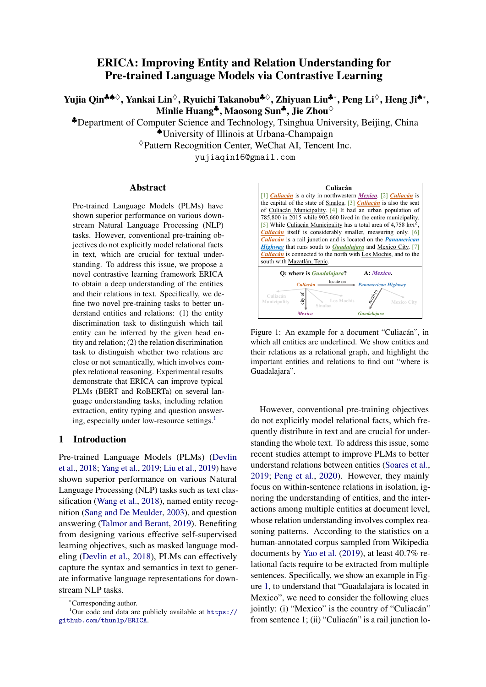<span id="page-7-0"></span>

| Size                  | $1\%$ | 10%  | $100\%$ |
|-----------------------|-------|------|---------|
| <b>BERT</b>           | 28.9  | 44.9 | 54.5    |
| <b>ERICARERT</b>      | 36.0  | 48.3 | 55.9    |
| ERICA <sub>BERT</sub> | 36.3  | 48.6 | 55.9    |

Table 7: Effects of pre-training data's entity distribution shifting. We report test IgF1 on DocRED.

<span id="page-7-1"></span>

Figure 4: Impacts of relation distribution shifting. X axis denotes different ratios of relations, Y axis denotes test IgF1 on different partitions of DocRED.

cally that when these two auxiliary objectives are only added into the fine-tuning stage, the model does not have performance gain. The reason is that the size and diversity of entities and relations in downstream training data are limited. Instead, pretraining with distant supervision on a large corpus provides a solution for increasing the diversity and quantity of training examples.

#### 5.2 Effects of Domain Shifting

We investigate two domain shifting factors: entity distribution and relation distribution, to explore how they impact ERICA's performance.

Entity Distribution Shifting The entities in supervised datasets of DocRED are recognized by human annotators while our pre-training data is processed by spaCy. Hence there may exist an entity distribution gap between pre-training and finetuning. To study the impacts of entity distribution shifting, we fine-tune a BERT model on training set of DocRED for NER tagging and re-tag entities in our pre-training dataset. Then we pre-train ERICA on the newly-labeled training corpus (denoted as  $ERICA_{BERT}^{DocRED}$ ). From the results shown in Table [7,](#page-7-0) we observe that it performs better than the original ERICA, indicating that pre-training on a dataset that shares similar entity distributions with downstream tasks is beneficial.

Relation Distribution Shifting Our pre-training data contains over 4, 000 Wikidata relations. To investigate whether training on a more diverse relation domain benefits ERICA, we train it with the pre-training corpus that randomly keeps only 30%, 50% and 70% the original relations, and compare

<span id="page-7-2"></span>

Figure 5: Impacts of pre-training data's size. X axis denotes different ratios of pre-training data, Y axis denotes test IgF1 on different partitions of DocRED.

<span id="page-7-3"></span>

| <b>Size</b>                                                                      | $1\%$                |                      | 10%                           |                        | 100%                      |                      |
|----------------------------------------------------------------------------------|----------------------|----------------------|-------------------------------|------------------------|---------------------------|----------------------|
| <b>Metrics</b>                                                                   | F1                   | IgF1                 | F1                            | IgF1                   | F1                        | IgF1                 |
| <b>Mean Pool</b><br><b>BERT</b><br><b>ERICABERT</b><br>ERICA <sub>BERT</sub>     | 30.4<br>37.8<br>38.5 | 28.9<br>36.0         | 47.1<br>50.8<br>$36.3$ $51.0$ | 44.9<br>48.3           | 56.8<br>58.2<br>48.6 58.2 | 54.5<br>55.9<br>55.9 |
| <b>Entity Marker</b><br><b>BERT</b><br><b>ERICABERT</b><br>ERICA <sub>RERT</sub> | 23.0<br>34.9<br>36.9 | 21.8<br>33.0<br>34.8 | 52.5 50.3                     | 46.5 44.3<br>50.2 48.0 | 58.0<br>59.9<br>60.8      | 55.6<br>57.6<br>58.4 |

Table 8: Results (IgF1) on how entity encoding strategy influences ERICA's performance on DocRED. We also show the impacts of entity distribution shifting  $(ERICA<sub>BERT</sub><sup>DoCRED</sup>$  and  $ERICA<sub>BERT</sub><sup>DoCRED</sup>)$  as is mentioned in the main paper.

their performances. From the results in Figure [4,](#page-7-1) we observe that the performance of ERICA improves constantly as the diversity of relation domain increases, which reveals the importance of using diverse training data on relation-related tasks. Through detailed analysis, we further find that ER-ICA is less competent at handling unseen relations in the corpus. This may result from the construction of our pre-training dataset: all the relations are annotated distantly through an existing KG with a pre-defined relation set. It would be promising to introduce more diverse relation domains during data preparation in future.

#### 5.3 Effects of Pre-training Data's Size

To explore the effects of pre-training data's size, we train ERICA on 10%, 30%, 50% and 70% of the original pre-training dataset, respectively. We report the results in Figure [5,](#page-7-2) from which we observe that with the scale of pre-training data becoming larger, ERICA is performing better.

#### 5.4 Effects of Methods for Entity Encoding

For all the experiments mentioned above, we encode each occurrence of an entity by mean pooling over all its tokens in both pre-training and downstream tasks. Ideally, ERICA should have consis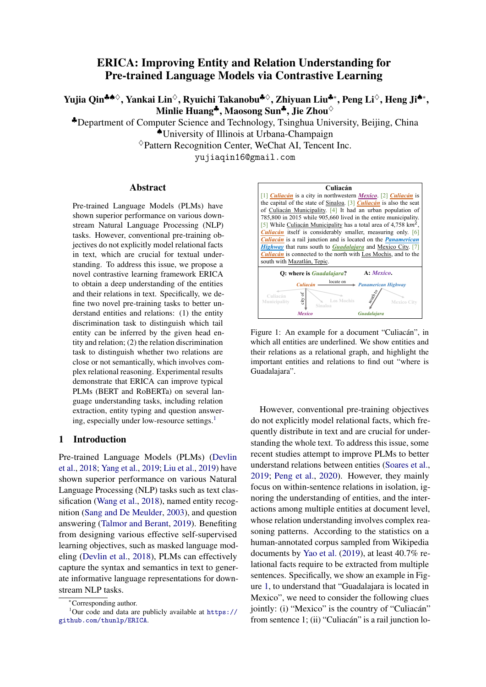tent improvements on other kinds of methods for entity encoding. To demonstrate this, we try another entity encoding method mentioned by [Soares](#page-10-4) [et al.](#page-10-4) [\(2019\)](#page-10-4) on three splits of DocRED (1%, 10% and 100%). Specifically, we insert a special start token [S] in front of an entity and an end token [E] after it. The representation for this entity is calculated by averaging the representations of all its start tokens in the document. To help PLMs discriminate different entities, we randomly assign different marker pairs ( $[S1]$ ,  $[E1]$ ;  $[S2]$ ,  $[E2]$ , ...) for each entity in a document in both pre-training and downstream tasks $12$ . All occurrences of one entity in a document share the same marker pair. We show in Table [8](#page-7-3) that ERICA achieves consistent performance improvements for both methods (denoted as Mean Pool and Entity Marker), indicating that ERICA is applicable to different methods for entity encoding. Specifically, Entity Marker achieves better performance when the scale of training data is large while Mean Pool is more powerful under low-resource settings. We also notice that training on a dataset that shares similar entity distributions is more helpful for Mean Pool, where  $ERICA_{BERT}^{DocRED}$  achieves 60.8 (F1) and 58.4 (IgF1) on 100% training data.

#### 5.5 Embedding Visualization

In Figure [6,](#page-8-3) we show the learned entity and relation embeddings of BERT and ERICABERT on DocRED's dev set by t-distributed stochastic neighbor embedding (t-SNE) [\(Hinton and Roweis,](#page-9-14) [2002\)](#page-9-14). We label points with different colors to represent its corresponding category of entities or relations<sup>[13](#page-8-4)</sup> in Wikidata and only visualize the most frequent 10 relations. From the figure, we can see that jointly training  $\mathcal{L}_{MLM}$  with  $\mathcal{L}_{ED}$  and  $\mathcal{L}_{RD}$  leads to a more compact clustering of both entities and relations belonging to the same category. In contrast, only training  $\mathcal{L}_{MLM}$  exhibits random distribution. This verifies that ERICA could better understand and represent both entities and relations in the text.

<span id="page-8-3"></span>

Figure 6: t-SNE plots of learned entity and relation embeddings on DocRED comparing BERT and ERICA<sub>BERT</sub>.

#### 6 Conclusions

In this paper, we present ERICA, a general framework for PLMs to improve entity and relation understanding via contrastive learning. We demonstrate the effectiveness of our method on several language understanding tasks, including relation extraction, entity typing and question answering. The experimental results show that ERICA outperforms all baselines, especially under low-resource settings, which means ERICA helps PLMs better capture the in-text relational facts and synthesize information about entities and their relations.

#### Acknowledgments

This work is supported by the National Key Research and Development Program of China (No. 2020AAA0106501) and Beijing Academy of Artificial Intelligence (BAAI). This work is also supported by the Pattern Recognition Center, WeChat AI, Tencent Inc.

#### References

- <span id="page-8-1"></span>Andrew M Dai and Quoc V Le. 2015. [Semi-supervised](https://arxiv.org/pdf/1511.01432.pdf) [sequence learning.](https://arxiv.org/pdf/1511.01432.pdf) In *Advances in neural information processing systems*, pages 3079–3087.
- <span id="page-8-0"></span>Jacob Devlin, Ming-Wei Chang, Kenton Lee, and Kristina Toutanova. 2018. [BERT: Pre-training of](https://www.aclweb.org/anthology/N19-1423/) [deep bidirectional transformers for language under](https://www.aclweb.org/anthology/N19-1423/)[standing.](https://www.aclweb.org/anthology/N19-1423/) In *Proceedings of the 2019 Conference of the North American Chapter of the Association*

<span id="page-8-2"></span><sup>&</sup>lt;sup>12</sup>In practice, we randomly initialize 100 entity marker pairs.

<span id="page-8-4"></span> $13$ (Key, value) pairs for relations defined in Wikidata are: (P176, manufacturer); (P150, contains administrative territorial entity); (P17, country); (P131, located in the administrative territorial entity); (P175, performer); (P27, country of citizenship); (P569, date of birth); (P1001, applies to jurisdiction); (P57, director); (P179, part of the series).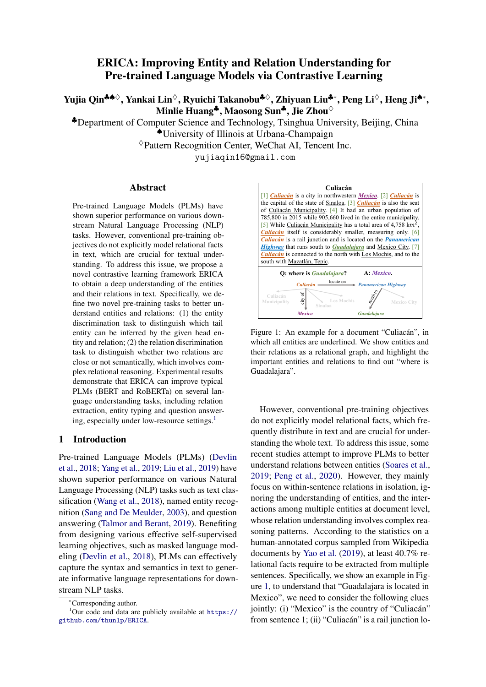*for Computational Linguistics: Human Language Technologies, NAACL-HLT 2019, Minneapolis, MN, USA, June 2-7, 2019, Volume 1 (Long and Short Papers)*, pages 4171–4186.

- <span id="page-9-16"></span>Markus Eberts and Adrian Ulges. 2019. [Span-based](http://arxiv.org/abs/1909.07755) [joint entity and relation extraction with transformer](http://arxiv.org/abs/1909.07755) [pre-training.](http://arxiv.org/abs/1909.07755) *CoRR*, abs/1909.07755.
- <span id="page-9-2"></span>William Fedus, Barret Zoph, and Noam Shazeer. 2021. [Switch transformers: Scaling to trillion parameter](https://arxiv.org/pdf/2101.03961.pdf) [models with simple and efficient sparsity.](https://arxiv.org/pdf/2101.03961.pdf) *arXiv preprint arXiv:2101.03961*.
- <span id="page-9-13"></span>Adam Fisch, Alon Talmor, Robin Jia, Minjoon Seo, Eunsol Choi, and Danqi Chen. 2019. [MRQA 2019](https://doi.org/10.18653/v1/D19-5801) [shared task: Evaluating generalization in reading](https://doi.org/10.18653/v1/D19-5801) [comprehension.](https://doi.org/10.18653/v1/D19-5801) In *Proceedings of the 2nd Workshop on Machine Reading for Question Answering*, pages 1–13, Hong Kong, China. Association for Computational Linguistics.
- <span id="page-9-17"></span>Harsha Gurulingappa, Abdul Mateen Rajput, Angus Roberts, Juliane Fluck, Martin Hofmann-Apitius, and Luca Toldo. 2012. [Development of a bench](https://www.sciencedirect.com/science/article/pii/S1532046412000615)[mark corpus to support the automatic extraction of](https://www.sciencedirect.com/science/article/pii/S1532046412000615) [drug-related adverse effects from medical case re](https://www.sciencedirect.com/science/article/pii/S1532046412000615)[ports.](https://www.sciencedirect.com/science/article/pii/S1532046412000615) *Journal of biomedical informatics*, 45(5):885– 892.
- <span id="page-9-6"></span>Raia Hadsell, Sumit Chopra, and Yann LeCun. 2006. [Dimensionality reduction by learning an invariant](https://ieeexplore.ieee.org/document/1640964) [mapping.](https://ieeexplore.ieee.org/document/1640964) In *2006 IEEE Computer Society Conference on Computer Vision and Pattern Recognition (CVPR'06)*, volume 2, pages 1735–1742. IEEE.
- <span id="page-9-3"></span>Bin He, Di Zhou, Jinghui Xiao, Xin Jiang, Qun Liu, Nicholas Jing Yuan, and Tong Xu. 2020. [BERT-](https://doi.org/10.18653/v1/2020.findings-emnlp.207)[MK: Integrating graph contextualized knowledge](https://doi.org/10.18653/v1/2020.findings-emnlp.207) [into pre-trained language models.](https://doi.org/10.18653/v1/2020.findings-emnlp.207) In *Findings of the Association for Computational Linguistics: EMNLP 2020*, pages 2281–2290, Online. Association for Computational Linguistics.
- <span id="page-9-8"></span>Iris Hendrickx, Su Nam Kim, Zornitsa Kozareva, Preslav Nakov, Diarmuid O Séaghdha, Sebastian Padó, Marco Pennacchiotti, Lorenza Romano, and Stan Szpakowicz. 2019. [SemEval-2010 Task 8:](https://www.aclweb.org/anthology/W09-2415) [Multi-way classification of semantic relations be](https://www.aclweb.org/anthology/W09-2415)[tween pairs of nominals.](https://www.aclweb.org/anthology/W09-2415) In *Proceedings of the Workshop on Semantic Evaluations: Recent Achievements and Future Directions (SEW-2009)*, pages 94– 99.
- <span id="page-9-14"></span>Geoffrey E Hinton and Sam Roweis. 2002. [Stochas](https://proceedings.neurips.cc/paper/2002/file/6150ccc6069bea6b5716254057a194ef-Paper.pdf)[tic neighbor embedding.](https://proceedings.neurips.cc/paper/2002/file/6150ccc6069bea6b5716254057a194ef-Paper.pdf) In *Advances in neural information processing systems 15: 16th Annual Conference on Neural Information Processing Systems 2002. Proceedings of a meeting held September 12, 2002, Vancouver, British Columbia, Canada*, volume 15, pages 857–864.
- <span id="page-9-7"></span>Sepp Hochreiter and Jürgen Schmidhuber. 1997. [Long short-term memory.](https://www.mitpressjournals.org/doi/abs/10.1162/neco.1997.9.8.1735) *Neural computation*, 9(8):1735–1780.
- <span id="page-9-0"></span>Jeremy Howard and Sebastian Ruder. 2018. [Universal](https://doi.org/10.18653/v1/P18-1031) [language model fine-tuning for text classification.](https://doi.org/10.18653/v1/P18-1031) In *Proceedings of the 56th Annual Meeting of the Association for Computational Linguistics (Volume 1: Long Papers)*, pages 328–339, Melbourne, Australia. Association for Computational Linguistics.
- <span id="page-9-10"></span>Yichen Jiang and Mohit Bansal. 2019. [Avoiding rea](https://www.aclweb.org/anthology/P19-1262/)[soning shortcuts: Adversarial evaluation, training,](https://www.aclweb.org/anthology/P19-1262/) [and model development for multi-hop qa.](https://www.aclweb.org/anthology/P19-1262/) In *Proceedings of the 57th Annual Meeting of the Association for Computational Linguistics, ACL 2019, July 28, 2019, Florence, Italy*, pages 2726–2736. Association for Computational Linguistics.
- <span id="page-9-4"></span>Mandar Joshi, Danqi Chen, Yinhan Liu, Daniel S. Weld, Luke Zettlemoyer, and Omer Levy. 2020. [SpanBERT: Improving pre-training by representing](https://www.aclweb.org/anthology/2020.tacl-1.5) [and predicting spans.](https://www.aclweb.org/anthology/2020.tacl-1.5) *Transactions of the Association for Computational Linguistics*, 8:64–77.
- <span id="page-9-11"></span>Mandar Joshi, Eunsol Choi, Daniel Weld, and Luke Zettlemoyer. 2017. [TriviaQA: A large scale dis](https://doi.org/10.18653/v1/P17-1147)[tantly supervised challenge dataset for reading com](https://doi.org/10.18653/v1/P17-1147)[prehension.](https://doi.org/10.18653/v1/P17-1147) In *Proceedings of the 55th Annual Meeting of the Association for Computational Linguistics (Volume 1: Long Papers)*, pages 1601–1611, Vancouver, Canada. Association for Computational Linguistics.
- <span id="page-9-15"></span>Diederik P Kingma and Jimmy Ba. 2014. [Adam: A](https://arxiv.org/abs/1412.6980) [method for stochastic optimization.](https://arxiv.org/abs/1412.6980) In *3rd International Conference on Learning Representations, ICLR 2015, San Diego, CA, USA, May 7, 2015, Conference Track Proceedings.*
- <span id="page-9-5"></span>Lingpeng Kong, Cyprien de Masson d'Autume, Lei Yu, Wang Ling, Zihang Dai, and Dani Yogatama. 2020. [A mutual information maximization perspective of](https://openreview.net/forum?id=Syx79eBKwr) [language representation learning.](https://openreview.net/forum?id=Syx79eBKwr) In *Proceedings of 8th International Conference on Learning Representations, ICLR 2020, Virtual Conference, April 26, 2020, Conference Track Proceedings.*
- <span id="page-9-12"></span>Tom Kwiatkowski, Jennimaria Palomaki, Olivia Redfield, Michael Collins, Ankur Parikh, Chris Alberti, Danielle Epstein, Illia Polosukhin, Jacob Devlin, Kenton Lee, et al. 2019. [Natural questions: a bench](https://transacl.org/ojs/index.php/tacl/article/view/1455)[mark for question answering research.](https://transacl.org/ojs/index.php/tacl/article/view/1455) *Transactions of the Association for Computational Linguistics*, 7:453–466.
- <span id="page-9-1"></span>Zhenzhong Lan, Mingda Chen, Sebastian Goodman, Kevin Gimpel, Piyush Sharma, and Radu Soricut. 2020. [ALBERT: A lite BERT for self-supervised](https://openreview.net/forum?id=H1eA7AEtvS) [learning of language representations.](https://openreview.net/forum?id=H1eA7AEtvS) In *Proceedings of 8th International Conference on Learning Representations, ICLR 2020, Virtual Conference, April 26, 2020, Conference Track Proceedings.*
- <span id="page-9-9"></span>Xiao Ling, Sameer Singh, and Daniel S Weld. 2015. [Design challenges for entity linking.](https://www.aclweb.org/anthology/Q15-1023) *Transactions of the Association for Computational Linguistics*, 3:315–328.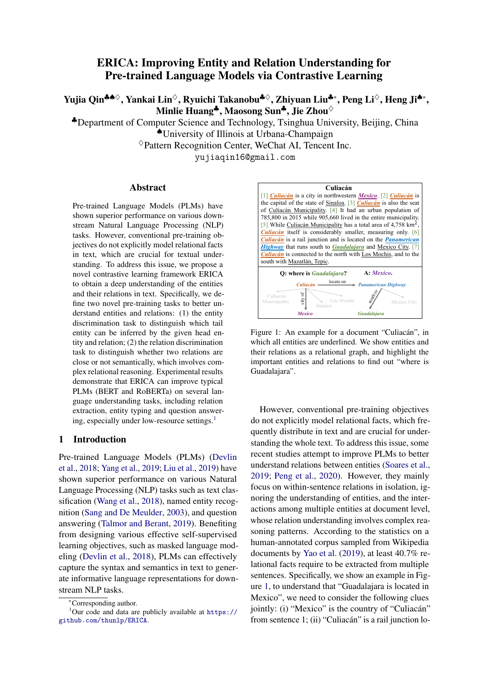- <span id="page-10-0"></span>Yinhan Liu, Myle Ott, Naman Goyal, Jingfei Du, Mandar Joshi, Danqi Chen, Omer Levy, Mike Lewis, Luke Zettlemoyer, and Veselin Stoyanov. 2019. [RoBERTa: A robustly optimized BERT pretraining](http://arxiv.org/abs/1907.11692) [approach.](http://arxiv.org/abs/1907.11692) *CoRR*, abs/1907.11692.
- <span id="page-10-14"></span>Ilya Loshchilov and Frank Hutter. 2017. [Decoupled](https://arxiv.org/pdf/1711.05101.pdf) [weight decay regularization.](https://arxiv.org/pdf/1711.05101.pdf) In *Proceedings of 7th International Conference on Learning Representations, ICLR 2019*.
- <span id="page-10-13"></span>Michael McCloskey and Neal J Cohen. 1989. [Catas](https://www.sciencedirect.com/science/article/pii/S0079742108605368)[trophic interference in connectionist networks: the](https://www.sciencedirect.com/science/article/pii/S0079742108605368) [sequential learning problem.](https://www.sciencedirect.com/science/article/pii/S0079742108605368) In *Psychology of learning and motivation*, volume 24, pages 109–165. Elsevier.
- <span id="page-10-5"></span>Hao Peng, Tianyu Gao, Xu Han, Yankai Lin, Peng Li, Zhiyuan Liu, Maosong Sun, and Jie Zhou. 2020. [Learning from context or names? an empirical study](https://www.aclweb.org/anthology/2020.emnlp-main.298) [on neural relation extraction.](https://www.aclweb.org/anthology/2020.emnlp-main.298) In *Proceedings of the 2020 Conference on Empirical Methods in Natural Language Processing (EMNLP)*, pages 3661–3672, Online. Association for Computational Linguistics.
- <span id="page-10-11"></span>Matthew E Peters, Mark Neumann, Robert L Logan IV, Roy Schwartz, Vidur Joshi, Sameer Singh, and Noah A Smith. 2019. [Knowledge enhanced con](https://www.aclweb.org/anthology/D19-1005)[textual word representations.](https://www.aclweb.org/anthology/D19-1005) In *Proceedings of the 2019 Conference on Empirical Methods in Natural Language Processing and the 9th International Joint Conference on Natural Language Processing (EMNLP-IJCNLP)*. Association for Computational Linguistics.
- <span id="page-10-6"></span>Alec Radford, Karthik Narasimhan, Tim Salimans, and Ilya Sutskever. 2018. [Improving language under](https://www.cs.ubc.ca/~amuham01/LING530/papers/radford2018improving.pdf)[standing by generative pre-training.](https://www.cs.ubc.ca/~amuham01/LING530/papers/radford2018improving.pdf)
- <span id="page-10-9"></span>Colin Raffel, Noam Shazeer, Adam Roberts, Katherine Lee, Sharan Narang, Michael Matena, Yanqi Zhou, Wei Li, and Peter J Liu. 2020. [Exploring the limits](https://arxiv.org/pdf/1910.10683.pdf) [of transfer learning with a unified text-to-text trans](https://arxiv.org/pdf/1910.10683.pdf)[former.](https://arxiv.org/pdf/1910.10683.pdf) *Journal of Machine Learning Research*, 21:1–67.
- <span id="page-10-17"></span>Pranav Rajpurkar, Jian Zhang, Konstantin Lopyrev, and Percy Liang. 2016. [SQuAD: 100,000+ questions for](https://doi.org/10.18653/v1/D16-1264) [machine comprehension of text.](https://doi.org/10.18653/v1/D16-1264) In *Proceedings of the 2016 Conference on Empirical Methods in Natural Language Processing*, pages 2383–2392, Austin, Texas. Association for Computational Linguistics.
- <span id="page-10-18"></span>Dan Roth and Wen-tau Yih. 2004. [A linear program](https://www.aclweb.org/anthology/W04-2401)[ming formulation for global inference in natural lan](https://www.aclweb.org/anthology/W04-2401)[guage tasks.](https://www.aclweb.org/anthology/W04-2401) In *Proceedings of the Eighth Conference on Computational Natural Language Learning (CoNLL-2004) at HLT-NAACL 2004*, pages 1–8, Boston, Massachusetts, USA. Association for Computational Linguistics.
- <span id="page-10-2"></span>Erik F Sang and Fien De Meulder. 2003. [Intro](https://www.aclweb.org/anthology/W03-0419)[duction to the conll-2003 shared task: Language](https://www.aclweb.org/anthology/W03-0419)[independent named entity recognition.](https://www.aclweb.org/anthology/W03-0419) In *Proceedings of the Seventh Conference on Natural Language Learning at HLT-NAACL 2003*.
- <span id="page-10-16"></span>Minjoon Seo, Aniruddha Kembhavi, Ali Farhadi, and Hannaneh Hajishirzi. 2016. [Bidirectional attention](https://openreview.net/forum?id=HJ0UKP9ge) [flow for machine comprehension.](https://openreview.net/forum?id=HJ0UKP9ge) In *Proceedings of 5th International Conference on Learning Representations, ICLR 2017, Toulon, France, April 24, 2017, Con- ference Track Proceedings*.
- <span id="page-10-4"></span>Livio Baldini Soares, Nicholas FitzGerald, Jeffrey Ling, and Tom Kwiatkowski. 2019. [Matching the](https://www.aclweb.org/anthology/P19-1279/) [blanks: Distributional similarity for relation learn](https://www.aclweb.org/anthology/P19-1279/)[ing.](https://www.aclweb.org/anthology/P19-1279/) In *Proceedings of the 57th Annual Meeting of the Association for Computational Linguistics*, pages 2895–2905. Association for Computational Linguistics.
- <span id="page-10-8"></span>Kaitao Song, Xu Tan, Tao Qin, Jianfeng Lu, and Tie-Yan Liu. 2019. [Mass: Masked sequence to sequence](https://arxiv.org/pdf/1905.02450.pdf) [pre-training for language generation.](https://arxiv.org/pdf/1905.02450.pdf) In *Proceedings of International Conference on Machine Learning*, pages 5926–5936. PMLR.
- <span id="page-10-10"></span>Tianxiang Sun, Yunfan Shao, Xipeng Qiu, Qipeng Guo, Yaru Hu, Xuanjing Huang, and Zheng Zhang. 2020. [CoLAKE: Contextualized language and knowledge](https://doi.org/10.18653/v1/2020.coling-main.327) [embedding.](https://doi.org/10.18653/v1/2020.coling-main.327) In *Proceedings of the 28th International Conference on Computational Linguistics*, pages 3660–3670, Barcelona, Spain (Online). International Committee on Computational Linguistics.
- <span id="page-10-12"></span>Yu Sun, Shuohuan Wang, Yukun Li, Shikun Feng, Xuyi Chen, Han Zhang, Xin Tian, Danxiang Zhu, Hao Tian, and Hua Wu. 2019. [Ernie: Enhanced rep](https://arxiv.org/pdf/1904.09223.pdf)[resentation through knowledge integration.](https://arxiv.org/pdf/1904.09223.pdf) *arXiv preprint arXiv:1904.09223*.
- <span id="page-10-3"></span>Alon Talmor and Jonathan Berant. 2019. [MultiQA: An](https://www.aclweb.org/anthology/P19-1485) [empirical investigation of generalization and trans](https://www.aclweb.org/anthology/P19-1485)[fer in reading comprehension.](https://www.aclweb.org/anthology/P19-1485) In *Proceedings of the 57th Annual Meeting of the Association for Computational Linguistics*, pages 4911–4921. Association for Computational Linguistics.
- <span id="page-10-15"></span>Hengzhu Tang, Yanan Cao, Zhenyu Zhang, Jiangxia Cao, Fang Fang, Shi Wang, and Pengfei Yin. 2020. [Hin: Hierarchical inference network for document](https://doi.org/10.1007/978-3-030-47426-3_16)[level relation extraction.](https://doi.org/10.1007/978-3-030-47426-3_16) In *Advances in Knowledge Discovery and Data Mining-24th Pacific-Asia Conference, PAKDD 2020, Singapore, May 11, 2020, Proceedings, Part I, volume 12084 of Lecture Notes in Computer Science*, pages 197–209. Springer.
- <span id="page-10-7"></span>Ashish Vaswani, Noam Shazeer, Niki Parmar, Jakob Uszkoreit, Llion Jones, Aidan N Gomez, Łukasz Kaiser, and Illia Polosukhin. 2017. [Attention is all](https://proceedings.neurips.cc/paper/2017/hash/3f5ee243547dee91fbd053c1c4a845aa-Abstract.html) [you need.](https://proceedings.neurips.cc/paper/2017/hash/3f5ee243547dee91fbd053c1c4a845aa-Abstract.html) In *Advances in Neural Information Processing Systems 30: Annual Conference on Neural Information Processing Systems 2017, 4 December 2017, Long Beach, CA, USA*, pages 5998–6008.
- <span id="page-10-1"></span>Alex Wang, Amanpreet Singh, Julian Michael, Felix Hill, Omer Levy, and Samuel R Bowman. 2018. [GLUE: A multi-task benchmark and analysis plat](https://aclweb.org/anthology/W18-5446)[form for natural language understanding.](https://aclweb.org/anthology/W18-5446) In *Proceedings of the 2018 EMNLP Workshop BlackboxNLP: Analyzing and Interpreting Neural Net-*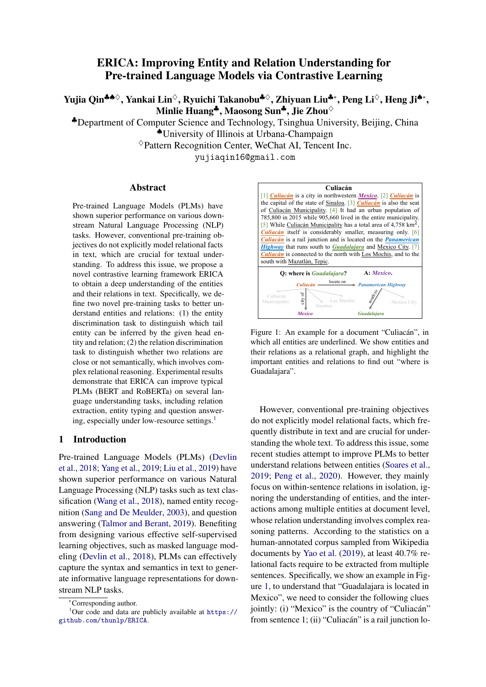*works for NLP1*. Association for Computational Linguistics.

- <span id="page-11-6"></span>Ruize Wang, Duyu Tang, Nan Duan, Zhongyu Wei, Xuanjing Huang, Cuihong Cao, Daxin Jiang, Ming Zhou, et al. 2020. [K-adapter: Infusing knowl](https://arxiv.org/pdf/2002.01808.pdf)[edge into pre-trained models with adapters.](https://arxiv.org/pdf/2002.01808.pdf) *arXiv preprint arXiv:2002.01808*.
- <span id="page-11-3"></span>Xiaozhi Wang, Tianyu Gao, Zhaocheng Zhu, Zhiyuan Liu, Juanzi Li, and Jian Tang. 2019. [KEPLER: A](https://arxiv.org/pdf/1911.06136.pdf) [unified model for knowledge embedding and pre](https://arxiv.org/pdf/1911.06136.pdf)[trained language representation.](https://arxiv.org/pdf/1911.06136.pdf) *Transactions of the Association for Computational Linguistics*.
- <span id="page-11-11"></span>Dirk Weissenborn, Georg Wiese, and Laura Seiffe. 2017. [Making neural QA as simple as possible](https://www.aclweb.org/anthology/K17-1028) [but not simpler.](https://www.aclweb.org/anthology/K17-1028) In *Proceedings of the 21st Conference on Computational Natural Language Learning (CoNLL 2017)*, pages 271–280. Association for Computational Linguistics.
- <span id="page-11-10"></span>Johannes Welbl, Pontus Stenetorp, and Sebastian Riedel. 2018. [Constructing datasets for multi-hop](https://www.aclweb.org/anthology/Q18-1021) [reading comprehension across documents.](https://www.aclweb.org/anthology/Q18-1021) *Transactions of the Association for Computational Linguistics*, 6:287–302.
- <span id="page-11-2"></span>Wenhan Xiong, Jingfei Du, William Yang Wang, and Veselin Stoyanov. 2019. [Pretrained encyclopedia:](https://openreview.net/pdf?id=BJlzm64tDH) [Weakly supervised knowledge-pretrained language](https://openreview.net/pdf?id=BJlzm64tDH) [model.](https://openreview.net/pdf?id=BJlzm64tDH) In *Proceedings of 8th International Conference on Learning Representations, ICLR 2020, Virtual Conference, April 26, 2020, Conference Track Proceedings.*
- <span id="page-11-4"></span>Ikuya Yamada, Akari Asai, Hiroyuki Shindo, Hideaki Takeda, and Yuji Matsumoto. 2020. [LUKE: Deep](https://www.aclweb.org/anthology/2020.emnlp-main.523) [contextualized entity representations with entity](https://www.aclweb.org/anthology/2020.emnlp-main.523)[aware self-attention.](https://www.aclweb.org/anthology/2020.emnlp-main.523) In *Proceedings of the 2020 Conference on Empirical Methods in Natural Language Processing (EMNLP)*. Association for Computational Linguistics.
- <span id="page-11-0"></span>Zhilin Yang, Zihang Dai, Yiming Yang, Jaime Carbonell, Russ R Salakhutdinov, and Quoc V Le. 2019. [XLNet: Generalized autoregressive pretraining for](https://proceedings.neurips.cc/paper/2019/hash/dc6a7e655d7e5840e66733e9ee67cc69-Abstract.html) [language understanding.](https://proceedings.neurips.cc/paper/2019/hash/dc6a7e655d7e5840e66733e9ee67cc69-Abstract.html) In *Advances in Neural Information Processing Systems 32: Annual Conference on Neural Information Processing Systems 2019, NeurIPS 2019, 8-14 December 2019, Vancouver, BC, Canada*.
- <span id="page-11-1"></span>Yuan Yao, Deming Ye, Peng Li, Xu Han, Yankai Lin, Zhenghao Liu, Zhiyuan Liu, Lixin Huang, Jie Zhou, and Maosong Sun. 2019. [DocRED: A large-scale](https://www.aclweb.org/anthology/P19-1074) [document-level relation extraction dataset.](https://www.aclweb.org/anthology/P19-1074) In *Proceedings of the 57th Conference of the Association for Computational Linguistics, ACL 2019, Florence, Italy, July 28- August 2, 2019, Volume 1: Long Papers*, pages 764–777.
- <span id="page-11-7"></span>Deming Ye, Yankai Lin, Jiaju Du, Zhenghao Liu, Maosong Sun, and Zhiyuan Liu. 2020. [Coreferen](https://www.aclweb.org/anthology/2020.emnlp-main.582)[tial reasoning learning for language representation.](https://www.aclweb.org/anthology/2020.emnlp-main.582)

In *Proceedings of the 2020 Conference on Empirical Methods in Natural Language Processing (EMNLP)*, pages 7170–7186. Association for Computational Linguistics.

- <span id="page-11-8"></span>Daojian Zeng, Kang Liu, Siwei Lai, Guangyou Zhou, and Jun Zhao. 2014. [Relation classification via con](https://www.aclweb.org/anthology/C14-1220)[volutional deep neural network.](https://www.aclweb.org/anthology/C14-1220) In *Proceedings of COLING 2014, the 25th International Conference on Computational Linguistics: Technical Papers*, pages 2335–2344. Dublin City University and Association for Computational Linguistics.
- <span id="page-11-9"></span>Yuhao Zhang, Victor Zhong, Danqi Chen, Gabor Angeli, and Christopher D Manning. 2017. [Position](https://www.aclweb.org/anthology/D17-1004)[aware attention and supervised data improve slot fill](https://www.aclweb.org/anthology/D17-1004)[ing.](https://www.aclweb.org/anthology/D17-1004) In *Proceedings of the 2017 Conference on Empirical Methods in Natural Language Processing*, pages 35–45. Association for Computational Linguistics.
- <span id="page-11-5"></span>Zhengyan Zhang, Xu Han, Zhiyuan Liu, Xin Jiang, Maosong Sun, and Qun Liu. 2019. [ERNIE: En](https://www.aclweb.org/anthology/P19-1139)[hanced language representation with informative en](https://www.aclweb.org/anthology/P19-1139)[tities.](https://www.aclweb.org/anthology/P19-1139) In *Proceedings of the 57th Annual Meeting of the Association for Computational Linguistics*, pages 1441–1451. Association for Computational Linguistics.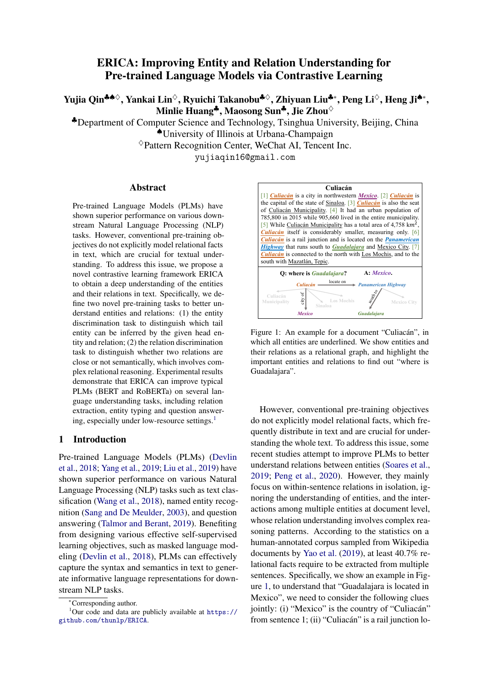### Appendices

# A Training Details for Downstream Tasks

In this section, we introduce the training details for downstream tasks (relation extraction, entity typing and question answering). We implement all models based on Huggingface transformers<sup>[14](#page-12-0)</sup>.

### A.1 Relation Extraction

Document-level Relation Extraction For document-level relation extraction, we did experiments on DocRED [\(Yao et al.,](#page-11-1) [2019\)](#page-11-1). We modify the official code<sup>[15](#page-12-1)</sup> for implementation. For experiments on three partitions of the original training set  $(1\%, 10\% \text{ and } 100\%)$ , we adopt batch size of 10, 32, 32 and training epochs of 400, 400, 200, respectively. We choose Adam optimizer [\(Kingma and Ba,](#page-9-15) [2014\)](#page-9-15) as the optimizer and the learning rate is set to  $4 \times 10^{-5}$ . We evaluate on dev set every 20/20/5 epochs and then test the best checkpoint on test set on the official evaluation server<sup>[16](#page-12-2)</sup>.

Sentence-level Relation Extraction For sentence-level relation extraction, we did experiments on TACRED [\(Zhang et al.,](#page-11-9) [2017\)](#page-11-9) and SemEval-2010 Task 8 [\(Hendrickx et al.,](#page-9-8) [2019\)](#page-9-8) based on the implementation of [Peng et al.](#page-10-5)  $(2020)^{17}$  $(2020)^{17}$  $(2020)^{17}$  $(2020)^{17}$ . We did experiments on three partitions (1%, 10% and 100%) of the original training set. The relation representation for each entity pair is obtained in the same way as in pre-training phase. Other settings are kept the same as [Peng et al.](#page-10-5) [\(2020\)](#page-10-5) for fair comparison.

# A.2 Entity Tying

For entity typing, we choose FIGER [\(Ling et al.,](#page-9-9) [2015\)](#page-9-9), whose training set is labeled with distant supervision. We modify the implementation of ERNIE [\(Zhang et al.,](#page-11-5)  $2019$ <sup>[18](#page-12-4)</sup>. In fine-tuning phrase, we encode the entities in the same way as in pre-training phase. We set the learning rate to  $3 \times 10^{-5}$  and batch size to 256, and fine-tune the

models for three epochs, other hyper-parameters are kept the same as ERNIE.

#### A.3 Question Answering

Multi-choice QA For multi-choice question answering, we choose WikiHop [\(Welbl et al.,](#page-11-10) [2018\)](#page-11-10). Since the standard setting of WikiHop does not provide the index for each candidate, we then find them by exactly matching them in the documents. We did experiments on three partitions of the original training data (1%, 10% and 100%). We set the batch size to 8 and learning rate to  $5 \times 10^{-5}$ , and train for two epochs.

Extractive QA For extractive question answering, we adopt MRQA [\(Fisch et al.,](#page-9-13) [2019\)](#page-9-13) as the testbed and choose three datasets: SQuAD [\(Ra](#page-10-17)[jpurkar et al.,](#page-10-17) [2016\)](#page-10-17), TriviaQA [\(Joshi et al.,](#page-9-11) [2017\)](#page-9-11) and NaturalQA [\(Kwiatkowski et al.,](#page-9-12) [2019\)](#page-9-12). We adopt Adam as the optimizer, set the learning rate to  $3 \times 10^{-5}$  and train for two epochs. In the main paper, we report results on two splits (10% and 100%) and results on 1% are listed in Table [11.](#page-13-0)

### B Generalized Language Understanding (GLUE)

The General Language Understanding Evaluation (GLUE) benchmark [\(Wang et al.,](#page-10-1) [2018\)](#page-10-1) provides several natural language understanding tasks, which is often used to evaluate PLMs. To test whether  $\mathcal{L}_{ED}$  and  $\mathcal{L}_{RD}$  impair the PLMs' performance on these tasks, we compare BERT, ERICABERT, ROBERTa and ERICAROBERTa. We follow the widely used setting and use the [CLS] token as representation for the whole sentence or sentence pair for classification or regression. Table [9](#page-13-1) shows the results on dev sets of GLUE Benchmark. It can be observed that both  $ERICA_{BERT}$  and ERICARoBERTa achieve comparable performance than the original model, which suggests that jointly training  $\mathcal{L}_{ED}$  and  $\mathcal{L}_{RD}$  with  $\mathcal{L}_{MLM}$  does not hurt PLMs' general ability of language understanding.

### C Full results of ablation study

Full results of ablation study (DocRED, WikiHop and FIGER) are listed in Table [10.](#page-13-2)

# D Joint Named Entity Recognition and Relation Extraction

Joint Named Entity Recognition (NER) and Relation Extraction (RE) aims at identifying entities in text and the relations between them. We

<span id="page-12-0"></span><sup>14</sup>[https://github.com/huggingface/](https://github.com/huggingface/transformers) [transformers](https://github.com/huggingface/transformers)

<span id="page-12-2"></span><span id="page-12-1"></span><sup>15</sup><https://github.com/thunlp/DocRED> <sup>16</sup>[https://competitions.codalab.org/](https://competitions.codalab.org/competitions/20717)

[competitions/20717](https://competitions.codalab.org/competitions/20717)

<span id="page-12-3"></span>

<sup>17</sup>[https://github.com/thunlp/](https://github.com/thunlp/RE-Context-or-Names) [RE-Context-or-Names](https://github.com/thunlp/RE-Context-or-Names)

<span id="page-12-4"></span><sup>18</sup><https://github.com/thunlp/ERNIE>